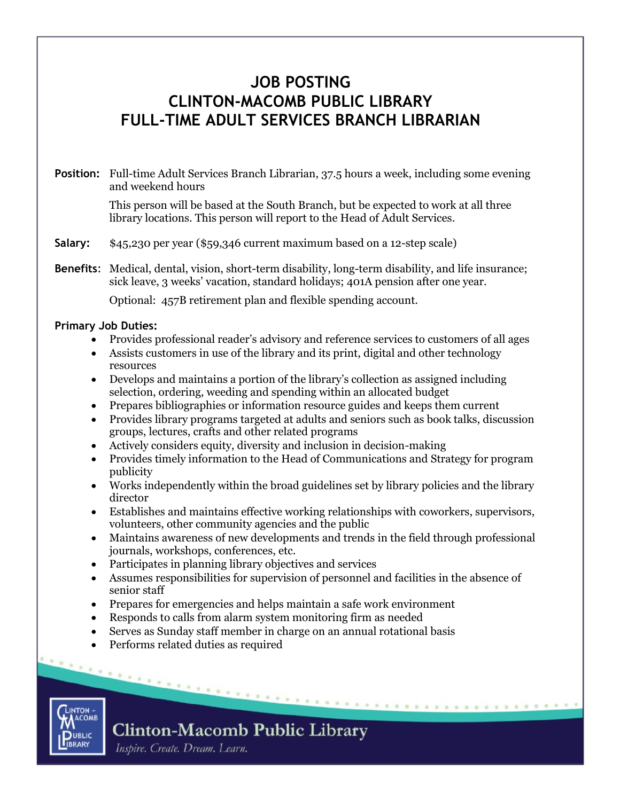### **JOB POSTING CLINTON-MACOMB PUBLIC LIBRARY FULL-TIME ADULT SERVICES BRANCH LIBRARIAN**

#### **Position:** Full-time Adult Services Branch Librarian, 37.5 hours a week, including some evening and weekend hours

This person will be based at the South Branch, but be expected to work at all three library locations. This person will report to the Head of Adult Services.

**Salary:** \$45,230 per year (\$59,346 current maximum based on a 12-step scale)

**Benefits**: Medical, dental, vision, short-term disability, long-term disability, and life insurance; sick leave, 3 weeks' vacation, standard holidays; 401A pension after one year.

Optional: 457B retirement plan and flexible spending account.

#### **Primary Job Duties:**

- Provides professional reader's advisory and reference services to customers of all ages
- Assists customers in use of the library and its print, digital and other technology resources
- Develops and maintains a portion of the library's collection as assigned including selection, ordering, weeding and spending within an allocated budget
- Prepares bibliographies or information resource guides and keeps them current
- Provides library programs targeted at adults and seniors such as book talks, discussion groups, lectures, crafts and other related programs
- Actively considers equity, diversity and inclusion in decision-making
- Provides timely information to the Head of Communications and Strategy for program publicity
- Works independently within the broad guidelines set by library policies and the library director
- Establishes and maintains effective working relationships with coworkers, supervisors, volunteers, other community agencies and the public
- Maintains awareness of new developments and trends in the field through professional journals, workshops, conferences, etc.
- Participates in planning library objectives and services
- Assumes responsibilities for supervision of personnel and facilities in the absence of senior staff

- Prepares for emergencies and helps maintain a safe work environment
- Responds to calls from alarm system monitoring firm as needed
- Serves as Sunday staff member in charge on an annual rotational basis
- Performs related duties as required



## **Clinton-Macomb Public Library**

Inspire. Create. Dream. Learn.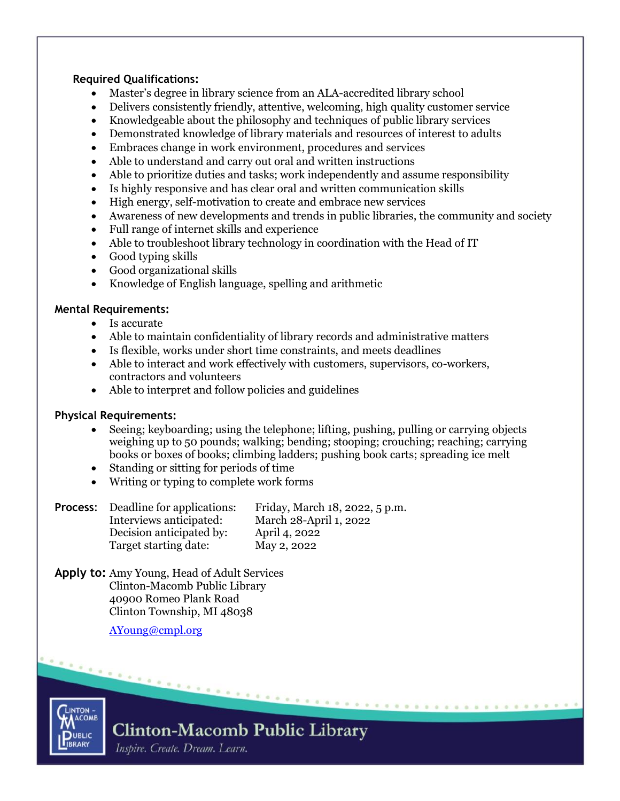#### **Required Qualifications:**

- Master's degree in library science from an ALA-accredited library school
- Delivers consistently friendly, attentive, welcoming, high quality customer service
- Knowledgeable about the philosophy and techniques of public library services
- Demonstrated knowledge of library materials and resources of interest to adults
- Embraces change in work environment, procedures and services
- Able to understand and carry out oral and written instructions
- Able to prioritize duties and tasks; work independently and assume responsibility
- Is highly responsive and has clear oral and written communication skills
- High energy, self-motivation to create and embrace new services
- Awareness of new developments and trends in public libraries, the community and society
- Full range of internet skills and experience
- Able to troubleshoot library technology in coordination with the Head of IT
- Good typing skills
- Good organizational skills
- Knowledge of English language, spelling and arithmetic

#### **Mental Requirements:**

- Is accurate
- Able to maintain confidentiality of library records and administrative matters
- Is flexible, works under short time constraints, and meets deadlines
- Able to interact and work effectively with customers, supervisors, co-workers, contractors and volunteers
- Able to interpret and follow policies and guidelines

#### **Physical Requirements:**

- Seeing; keyboarding; using the telephone; lifting, pushing, pulling or carrying objects weighing up to 50 pounds; walking; bending; stooping; crouching; reaching; carrying books or boxes of books; climbing ladders; pushing book carts; spreading ice melt
- Standing or sitting for periods of time
- Writing or typing to complete work forms

| Process: | Deadline for applications: | Friday, March 18, 2022, 5 p.m. |
|----------|----------------------------|--------------------------------|
|          | Interviews anticipated:    | March 28-April 1, 2022         |
|          | Decision anticipated by:   | April 4, 2022                  |
|          | Target starting date:      | May 2, 2022                    |

**Apply to:** Amy Young, Head of Adult Services Clinton-Macomb Public Library 40900 Romeo Plank Road Clinton Township, MI 48038

[AYoung@cmpl.org](mailto:AYoung@cmpl.org)

**LINTON ACOMB DUBLIC IBRARY**